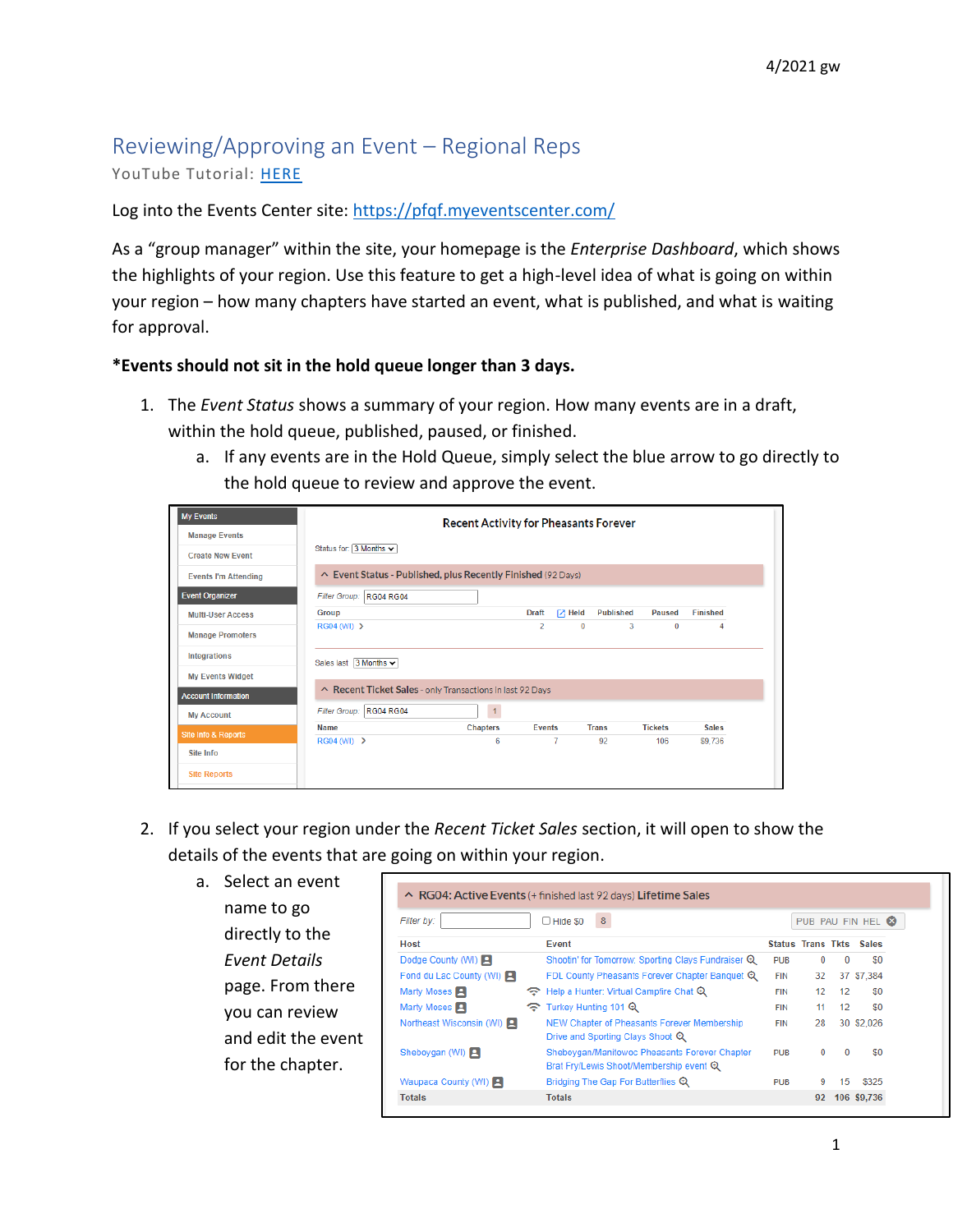## Reviewing/Approving an Event – Regional Reps YouTube Tutorial: [HERE](https://youtu.be/2P_f7pnWXH4)

Log into the Events Center site:<https://pfqf.myeventscenter.com/>

As a "group manager" within the site, your homepage is the *Enterprise Dashboard*, which shows the highlights of your region. Use this feature to get a high-level idea of what is going on within your region – how many chapters have started an event, what is published, and what is waiting for approval.

## **\*Events should not sit in the hold queue longer than 3 days.**

- 1. The *Event Status* shows a summary of your region. How many events are in a draft, within the hold queue, published, paused, or finished.
	- a. If any events are in the Hold Queue, simply select the blue arrow to go directly to the hold queue to review and approve the event.

| <b>My Events</b>               |                                                              | <b>Recent Activity for Pheasants Forever</b> |                |                |                  |                |                 |  |
|--------------------------------|--------------------------------------------------------------|----------------------------------------------|----------------|----------------|------------------|----------------|-----------------|--|
| <b>Manage Events</b>           |                                                              |                                              |                |                |                  |                |                 |  |
| <b>Create New Event</b>        | Status for: 3 Months v                                       |                                              |                |                |                  |                |                 |  |
| <b>Events I'm Attending</b>    | ↑ Event Status - Published, plus Recently Finished (92 Days) |                                              |                |                |                  |                |                 |  |
| <b>Event Organizer</b>         | <b>RG04 RG04</b><br><b>Filter Group:</b>                     |                                              |                |                |                  |                |                 |  |
| <b>Multi-User Access</b>       | Group                                                        |                                              | <b>Draft</b>   | $7$ Held       | <b>Published</b> | <b>Paused</b>  | <b>Finished</b> |  |
| <b>Manage Promoters</b>        | RG04 (WI) >                                                  |                                              | $\overline{2}$ | $\bf{0}$       | 3                | $\bf{0}$       | 4               |  |
| <b>Integrations</b>            | Sales last $3$ Months $\sim$                                 |                                              |                |                |                  |                |                 |  |
| <b>My Events Widget</b>        |                                                              |                                              |                |                |                  |                |                 |  |
| <b>Account Information</b>     | Recent Ticket Sales - only Transactions in last 92 Days      |                                              |                |                |                  |                |                 |  |
| <b>My Account</b>              | <b>RG04 RG04</b><br><b>Filter Group:</b>                     | $\mathbf{1}$                                 |                |                |                  |                |                 |  |
| <b>Site Info &amp; Reports</b> | Name                                                         | <b>Chapters</b>                              | <b>Events</b>  |                | <b>Trans</b>     | <b>Tickets</b> | <b>Sales</b>    |  |
|                                | $RG04$ (WI) $\rightarrow$                                    | 6                                            |                | $\overline{7}$ | 92               | 106            | \$9,736         |  |
| Site Info                      |                                                              |                                              |                |                |                  |                |                 |  |
| <b>Site Reports</b>            |                                                              |                                              |                |                |                  |                |                 |  |

- 2. If you select your region under the *Recent Ticket Sales* section, it will open to show the details of the events that are going on within your region.
	- a. Select an event name to go directly to the *Event Details* page. From there you can review and edit the event for the chapter.

| Filter by:               |   | 8 <sup>°</sup><br>$\Box$ Hide \$0                                                        |            |          |              | PUB PAU FIN HEL <sup>8</sup>   |
|--------------------------|---|------------------------------------------------------------------------------------------|------------|----------|--------------|--------------------------------|
| <b>Host</b>              |   | Event                                                                                    |            |          |              | <b>Status Trans Tkts Sales</b> |
| Dodge County (WI)        |   | Shootin' for Tomorrow: Sporting Clays Fundraiser Q                                       | <b>PUB</b> | $\Omega$ | $\Omega$     | \$0                            |
| Fond du Lac County (WI)  |   | FDL County Pheasants Forever Chapter Banquet Q                                           | <b>FIN</b> | 32       |              | 37 \$7,384                     |
| Marty Moses <b>P</b>     | ବ | Help a Hunter: Virtual Campfire Chat Q                                                   | <b>FIN</b> | 12       | 12           | \$0                            |
| Marty Moses <b>P</b>     | ଚ | Turkey Hunting 101 Q                                                                     | <b>FIN</b> | 11       | 12           | \$0                            |
| Northeast Wisconsin (WI) |   | NEW Chapter of Pheasants Forever Membership<br>Drive and Sporting Clays Shoot Q          | <b>FIN</b> | 28       |              | 30 \$2,026                     |
| Sheboygan (WI)           |   | Sheboygan/Manitowoc Pheasants Forever Chapter<br>Brat Fry/Lewis Shoot/Membership event Q | <b>PUB</b> | $\Omega$ | $\mathbf{0}$ | \$0                            |
| Waupaca County (WI)      |   | Bridging The Gap For Butterflies Q                                                       | <b>PUB</b> | 9        | 15           | \$325                          |
| <b>Totals</b>            |   | <b>Totals</b>                                                                            |            | 92       |              | 106 \$9,736                    |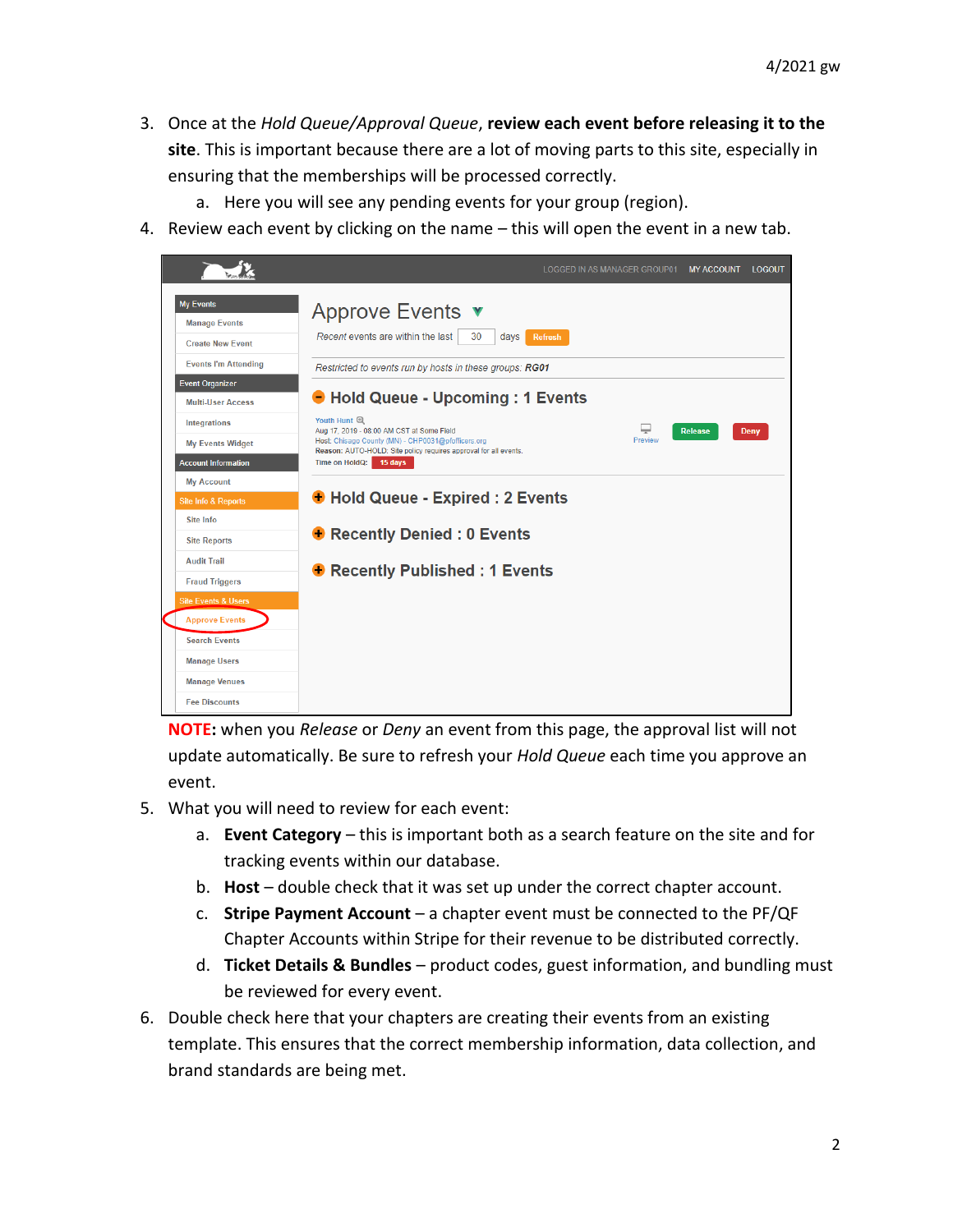- 3. Once at the *Hold Queue/Approval Queue*, **review each event before releasing it to the site**. This is important because there are a lot of moving parts to this site, especially in ensuring that the memberships will be processed correctly.
	- a. Here you will see any pending events for your group (region).
- 4. Review each event by clicking on the name this will open the event in a new tab.



**NOTE:** when you *Release* or *Deny* an event from this page, the approval list will not update automatically. Be sure to refresh your *Hold Queue* each time you approve an event.

- 5. What you will need to review for each event:
	- a. **Event Category** this is important both as a search feature on the site and for tracking events within our database.
	- b. **Host** double check that it was set up under the correct chapter account.
	- c. **Stripe Payment Account** a chapter event must be connected to the PF/QF Chapter Accounts within Stripe for their revenue to be distributed correctly.
	- d. **Ticket Details & Bundles** product codes, guest information, and bundling must be reviewed for every event.
- 6. Double check here that your chapters are creating their events from an existing template. This ensures that the correct membership information, data collection, and brand standards are being met.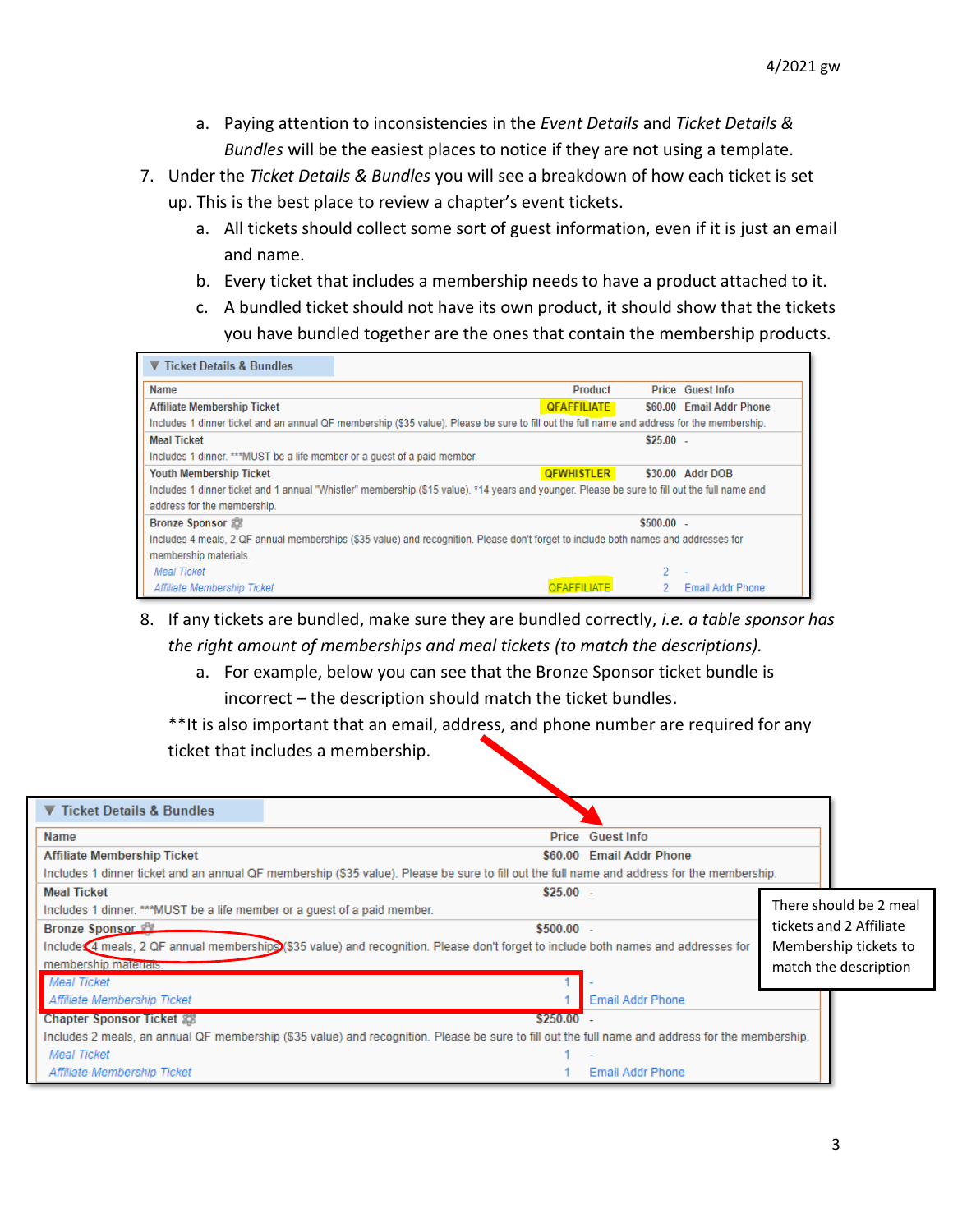- a. Paying attention to inconsistencies in the *Event Details* and *Ticket Details & Bundles* will be the easiest places to notice if they are not using a template.
- 7. Under the *Ticket Details & Bundles* you will see a breakdown of how each ticket is set up. This is the best place to review a chapter's event tickets.
	- a. All tickets should collect some sort of guest information, even if it is just an email and name.
	- b. Every ticket that includes a membership needs to have a product attached to it.
	- c. A bundled ticket should not have its own product, it should show that the tickets you have bundled together are the ones that contain the membership products.

| ▼ Ticket Details & Bundles                                                                                                                    |                    |             |                          |  |  |  |
|-----------------------------------------------------------------------------------------------------------------------------------------------|--------------------|-------------|--------------------------|--|--|--|
| Name                                                                                                                                          | Product            |             | <b>Price Guest Info</b>  |  |  |  |
| <b>Affiliate Membership Ticket</b>                                                                                                            | <b>QFAFFILIATE</b> |             | \$60.00 Email Addr Phone |  |  |  |
| Includes 1 dinner ticket and an annual QF membership (\$35 value). Please be sure to fill out the full name and address for the membership.   |                    |             |                          |  |  |  |
| <b>Meal Ticket</b>                                                                                                                            |                    | $$25.00 -$  |                          |  |  |  |
| Includes 1 dinner. ***MUST be a life member or a quest of a paid member.                                                                      |                    |             |                          |  |  |  |
| <b>Youth Membership Ticket</b>                                                                                                                | <b>QFWHISTLER</b>  |             | \$30.00 Addr DOB         |  |  |  |
| Includes 1 dinner ticket and 1 annual "Whistler" membership (\$15 value). *14 years and younger. Please be sure to fill out the full name and |                    |             |                          |  |  |  |
| address for the membership.                                                                                                                   |                    |             |                          |  |  |  |
| <b>Bronze Sponsor 2009</b>                                                                                                                    |                    | $$500.00 -$ |                          |  |  |  |
| Includes 4 meals, 2 QF annual memberships (\$35 value) and recognition. Please don't forget to include both names and addresses for           |                    |             |                          |  |  |  |
| membership materials.                                                                                                                         |                    |             |                          |  |  |  |
| <b>Meal Ticket</b>                                                                                                                            |                    |             | $\overline{\phantom{a}}$ |  |  |  |
| Affiliate Membership Ticket                                                                                                                   | OFAFFILIATE.       |             | Email Addr Phone         |  |  |  |

8. If any tickets are bundled, make sure they are bundled correctly, *i.e. a table sponsor has the right amount of memberships and meal tickets (to match the descriptions).* 

a. For example, below you can see that the Bronze Sponsor ticket bundle is incorrect – the description should match the ticket bundles.

\*\*It is also important that an email, address, and phone number are required for any ticket that includes a membership.

| ▼ Ticket Details & Bundles                                               |                                                                                                                                                  |                         |                         |
|--------------------------------------------------------------------------|--------------------------------------------------------------------------------------------------------------------------------------------------|-------------------------|-------------------------|
| <b>Name</b>                                                              |                                                                                                                                                  | <b>Price Guest Info</b> |                         |
| <b>Affiliate Membership Ticket</b>                                       | \$60.00                                                                                                                                          | <b>Email Addr Phone</b> |                         |
|                                                                          | Includes 1 dinner ticket and an annual QF membership (\$35 value). Please be sure to fill out the full name and address for the membership.      |                         |                         |
| <b>Meal Ticket</b>                                                       | $$25.00 -$                                                                                                                                       |                         |                         |
| Includes 1 dinner. ***MUST be a life member or a guest of a paid member. |                                                                                                                                                  |                         | There should be 2 meal  |
| <b>Bronze Sponsor</b>                                                    | $$500.00 -$                                                                                                                                      |                         | tickets and 2 Affiliate |
|                                                                          | Include 4 meals, 2 QF annual memberships (\$35 value) and recognition. Please don't forget to include both names and addresses for               |                         | Membership tickets to   |
| membership materials.                                                    |                                                                                                                                                  |                         | match the description   |
| <b>Meal Ticket</b>                                                       |                                                                                                                                                  |                         |                         |
| Affiliate Membership Ticket                                              |                                                                                                                                                  | <b>Email Addr Phone</b> |                         |
| <b>Chapter Sponsor Ticket 器</b>                                          | $$250.00 -$                                                                                                                                      |                         |                         |
|                                                                          | Includes 2 meals, an annual QF membership (\$35 value) and recognition. Please be sure to fill out the full name and address for the membership. |                         |                         |
| <b>Meal Ticket</b>                                                       |                                                                                                                                                  |                         |                         |
| Affiliate Membership Ticket                                              |                                                                                                                                                  | <b>Email Addr Phone</b> |                         |